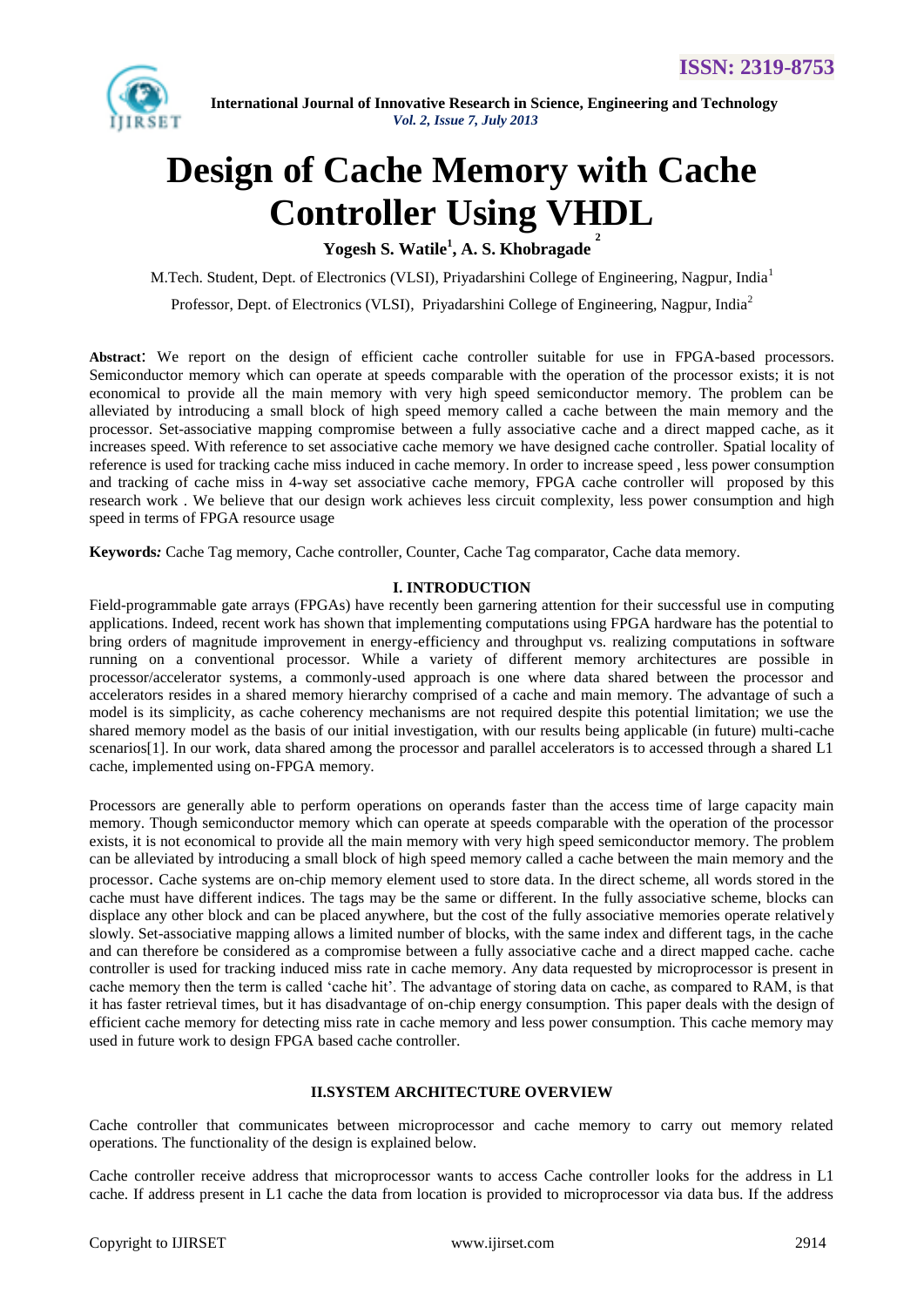

# **Design of Cache Memory with Cache Controller Using VHDL**

**Yogesh S. Watile<sup>1</sup> , A. S. Khobragade 2**

M.Tech. Student, Dept. of Electronics (VLSI), Priyadarshini College of Engineering, Nagpur, India<sup>1</sup>

Professor, Dept. of Electronics (VLSI), Priyadarshini College of Engineering, Nagpur, India<sup>2</sup>

**Abstract**: We report on the design of efficient cache controller suitable for use in FPGA-based processors. Semiconductor memory which can operate at speeds comparable with the operation of the processor exists; it is not economical to provide all the main memory with very high speed semiconductor memory. The problem can be alleviated by introducing a small block of high speed memory called a cache between the main memory and the processor. Set-associative mapping compromise between a fully associative cache and a direct mapped cache, as it increases speed. With reference to set associative cache memory we have designed cache controller. Spatial locality of reference is used for tracking cache miss induced in cache memory. In order to increase speed , less power consumption and tracking of cache miss in 4-way set associative cache memory, FPGA cache controller will proposed by this research work . We believe that our design work achieves less circuit complexity, less power consumption and high speed in terms of FPGA resource usage

**Keywords***:* Cache Tag memory, Cache controller, Counter, Cache Tag comparator, Cache data memory.

# **I. INTRODUCTION**

Field-programmable gate arrays (FPGAs) have recently been garnering attention for their successful use in computing applications. Indeed, recent work has shown that implementing computations using FPGA hardware has the potential to bring orders of magnitude improvement in energy-efficiency and throughput vs. realizing computations in software running on a conventional processor. While a variety of different memory architectures are possible in processor/accelerator systems, a commonly-used approach is one where data shared between the processor and accelerators resides in a shared memory hierarchy comprised of a cache and main memory. The advantage of such a model is its simplicity, as cache coherency mechanisms are not required despite this potential limitation; we use the shared memory model as the basis of our initial investigation, with our results being applicable (in future) multi-cache scenarios[1]. In our work, data shared among the processor and parallel accelerators is to accessed through a shared L1 cache, implemented using on-FPGA memory.

Processors are generally able to perform operations on operands faster than the access time of large capacity main memory. Though semiconductor memory which can operate at speeds comparable with the operation of the processor exists, it is not economical to provide all the main memory with very high speed semiconductor memory. The problem can be alleviated by introducing a small block of high speed memory called a cache between the main memory and the processor. Cache systems are on-chip memory element used to store data. In the direct scheme, all words stored in the cache must have different indices. The tags may be the same or different. In the fully associative scheme, blocks can displace any other block and can be placed anywhere, but the cost of the fully associative memories operate relatively slowly. Set-associative mapping allows a limited number of blocks, with the same index and different tags, in the cache and can therefore be considered as a compromise between a fully associative cache and a direct mapped cache. cache controller is used for tracking induced miss rate in cache memory. Any data requested by microprocessor is present in cache memory then the term is called "cache hit". The advantage of storing data on cache, as compared to RAM, is that it has faster retrieval times, but it has disadvantage of on-chip energy consumption. This paper deals with the design of efficient cache memory for detecting miss rate in cache memory and less power consumption. This cache memory may used in future work to design FPGA based cache controller.

## **II.SYSTEM ARCHITECTURE OVERVIEW**

Cache controller that communicates between microprocessor and cache memory to carry out memory related operations. The functionality of the design is explained below.

Cache controller receive address that microprocessor wants to access Cache controller looks for the address in L1 cache. If address present in L1 cache the data from location is provided to microprocessor via data bus. If the address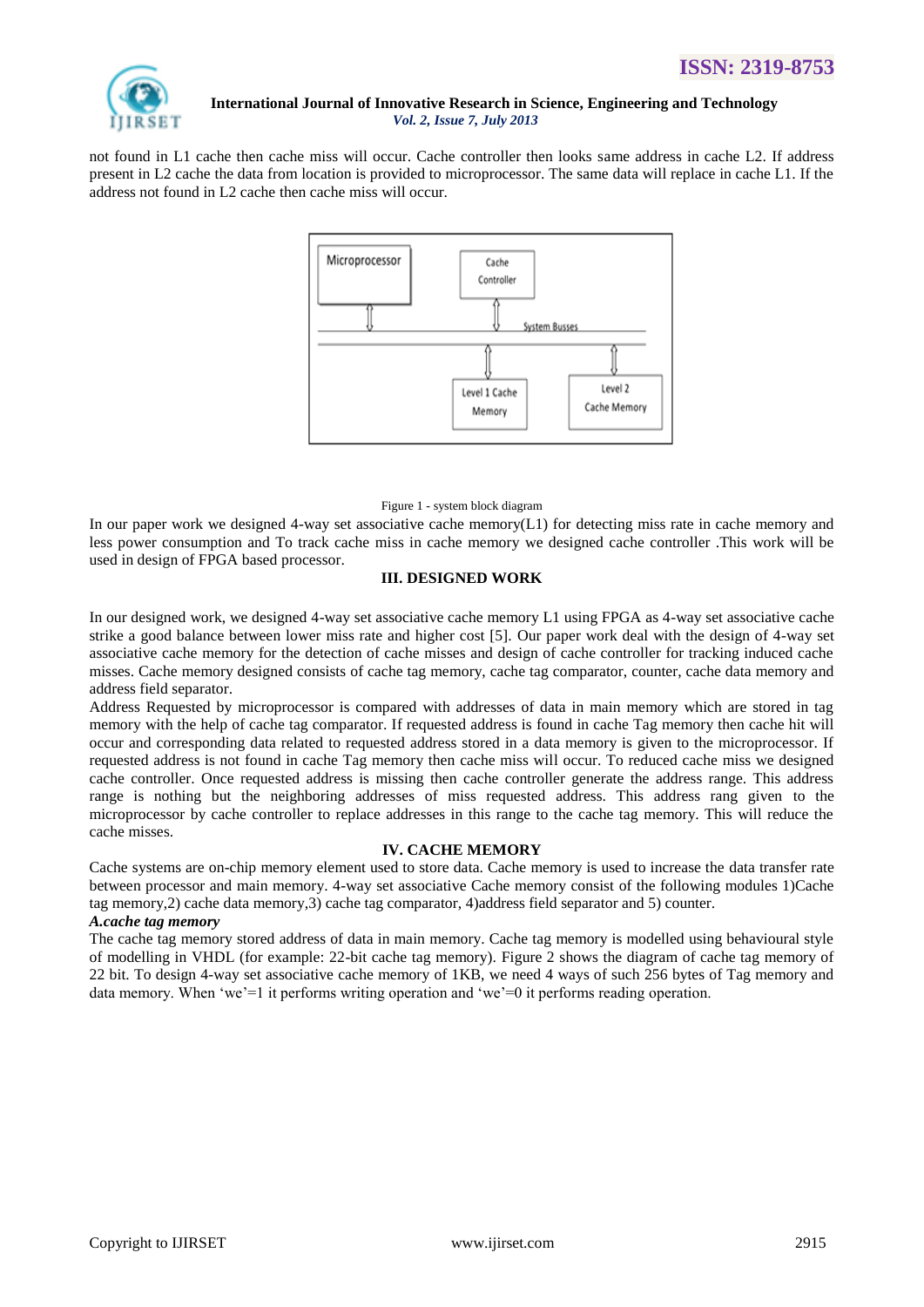

not found in L1 cache then cache miss will occur. Cache controller then looks same address in cache L2. If address present in L2 cache the data from location is provided to microprocessor. The same data will replace in cache L1. If the address not found in L2 cache then cache miss will occur.



#### Figure 1 - system block diagram

In our paper work we designed 4-way set associative cache memory(L1) for detecting miss rate in cache memory and less power consumption and To track cache miss in cache memory we designed cache controller .This work will be used in design of FPGA based processor.

# **III. DESIGNED WORK**

In our designed work, we designed 4-way set associative cache memory L1 using FPGA as 4-way set associative cache strike a good balance between lower miss rate and higher cost [5]. Our paper work deal with the design of 4-way set associative cache memory for the detection of cache misses and design of cache controller for tracking induced cache misses. Cache memory designed consists of cache tag memory, cache tag comparator, counter, cache data memory and address field separator.

Address Requested by microprocessor is compared with addresses of data in main memory which are stored in tag memory with the help of cache tag comparator. If requested address is found in cache Tag memory then cache hit will occur and corresponding data related to requested address stored in a data memory is given to the microprocessor. If requested address is not found in cache Tag memory then cache miss will occur. To reduced cache miss we designed cache controller. Once requested address is missing then cache controller generate the address range. This address range is nothing but the neighboring addresses of miss requested address. This address rang given to the microprocessor by cache controller to replace addresses in this range to the cache tag memory. This will reduce the cache misses.

# **IV. CACHE MEMORY**

Cache systems are on-chip memory element used to store data. Cache memory is used to increase the data transfer rate between processor and main memory. 4-way set associative Cache memory consist of the following modules 1)Cache tag memory,2) cache data memory,3) cache tag comparator, 4)address field separator and 5) counter.

# *A.cache tag memory*

The cache tag memory stored address of data in main memory. Cache tag memory is modelled using behavioural style of modelling in VHDL (for example: 22-bit cache tag memory). Figure 2 shows the diagram of cache tag memory of 22 bit. To design 4-way set associative cache memory of 1KB, we need 4 ways of such 256 bytes of Tag memory and data memory. When 'we'=1 it performs writing operation and 'we'=0 it performs reading operation.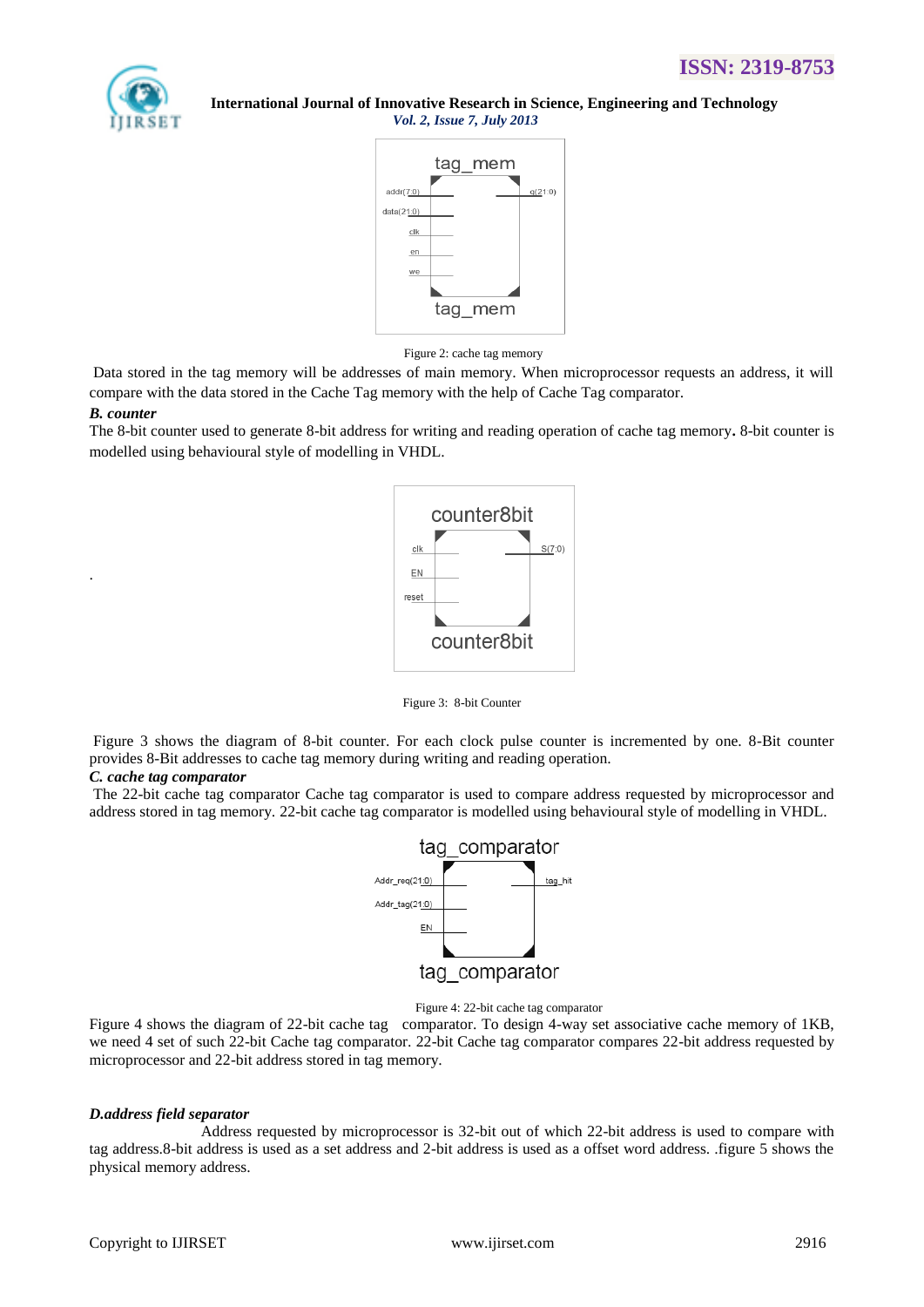

> tag mem  $(21.0)$  $data(21)$ clk en we tag mem

> > Figure 2: cache tag memory

Data stored in the tag memory will be addresses of main memory. When microprocessor requests an address, it will compare with the data stored in the Cache Tag memory with the help of Cache Tag comparator.

## *B. counter*

.

The 8-bit counter used to generate 8-bit address for writing and reading operation of cache tag memory**.** 8-bit counter is modelled using behavioural style of modelling in VHDL.



Figure 3: 8-bit Counter

Figure 3 shows the diagram of 8-bit counter. For each clock pulse counter is incremented by one. 8-Bit counter provides 8-Bit addresses to cache tag memory during writing and reading operation.

# *C. cache tag comparator*

The 22-bit cache tag comparator Cache tag comparator is used to compare address requested by microprocessor and address stored in tag memory. 22-bit cache tag comparator is modelled using behavioural style of modelling in VHDL.



Figure 4: 22-bit cache tag comparator

Figure 4 shows the diagram of 22-bit cache tag comparator. To design 4-way set associative cache memory of 1KB, we need 4 set of such 22-bit Cache tag comparator. 22-bit Cache tag comparator compares 22-bit address requested by microprocessor and 22-bit address stored in tag memory.

# *D.address field separator*

Address requested by microprocessor is 32-bit out of which 22-bit address is used to compare with tag address.8-bit address is used as a set address and 2-bit address is used as a offset word address. .figure 5 shows the physical memory address.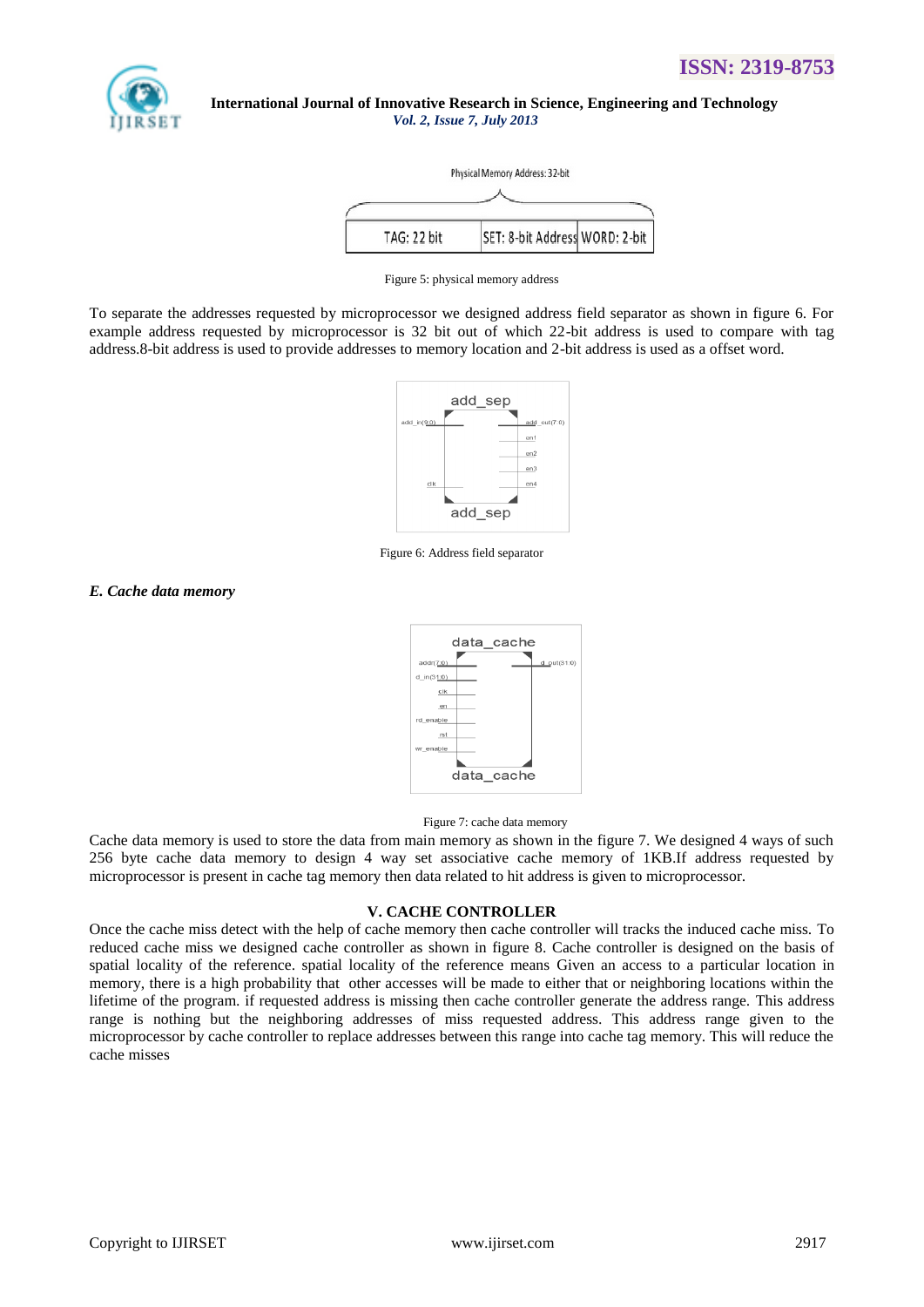



Figure 5: physical memory address

To separate the addresses requested by microprocessor we designed address field separator as shown in figure 6. For example address requested by microprocessor is 32 bit out of which 22-bit address is used to compare with tag address.8-bit address is used to provide addresses to memory location and 2-bit address is used as a offset word.



Figure 6: Address field separator

# *E. Cache data memory*



## Figure 7: cache data memory

Cache data memory is used to store the data from main memory as shown in the figure 7. We designed 4 ways of such 256 byte cache data memory to design 4 way set associative cache memory of 1KB.If address requested by microprocessor is present in cache tag memory then data related to hit address is given to microprocessor.

## **V. CACHE CONTROLLER**

Once the cache miss detect with the help of cache memory then cache controller will tracks the induced cache miss. To reduced cache miss we designed cache controller as shown in figure 8. Cache controller is designed on the basis of spatial locality of the reference. spatial locality of the reference means Given an access to a particular location in memory, there is a high probability that other accesses will be made to either that or neighboring locations within the lifetime of the program. if requested address is missing then cache controller generate the address range. This address range is nothing but the neighboring addresses of miss requested address. This address range given to the microprocessor by cache controller to replace addresses between this range into cache tag memory. This will reduce the cache misses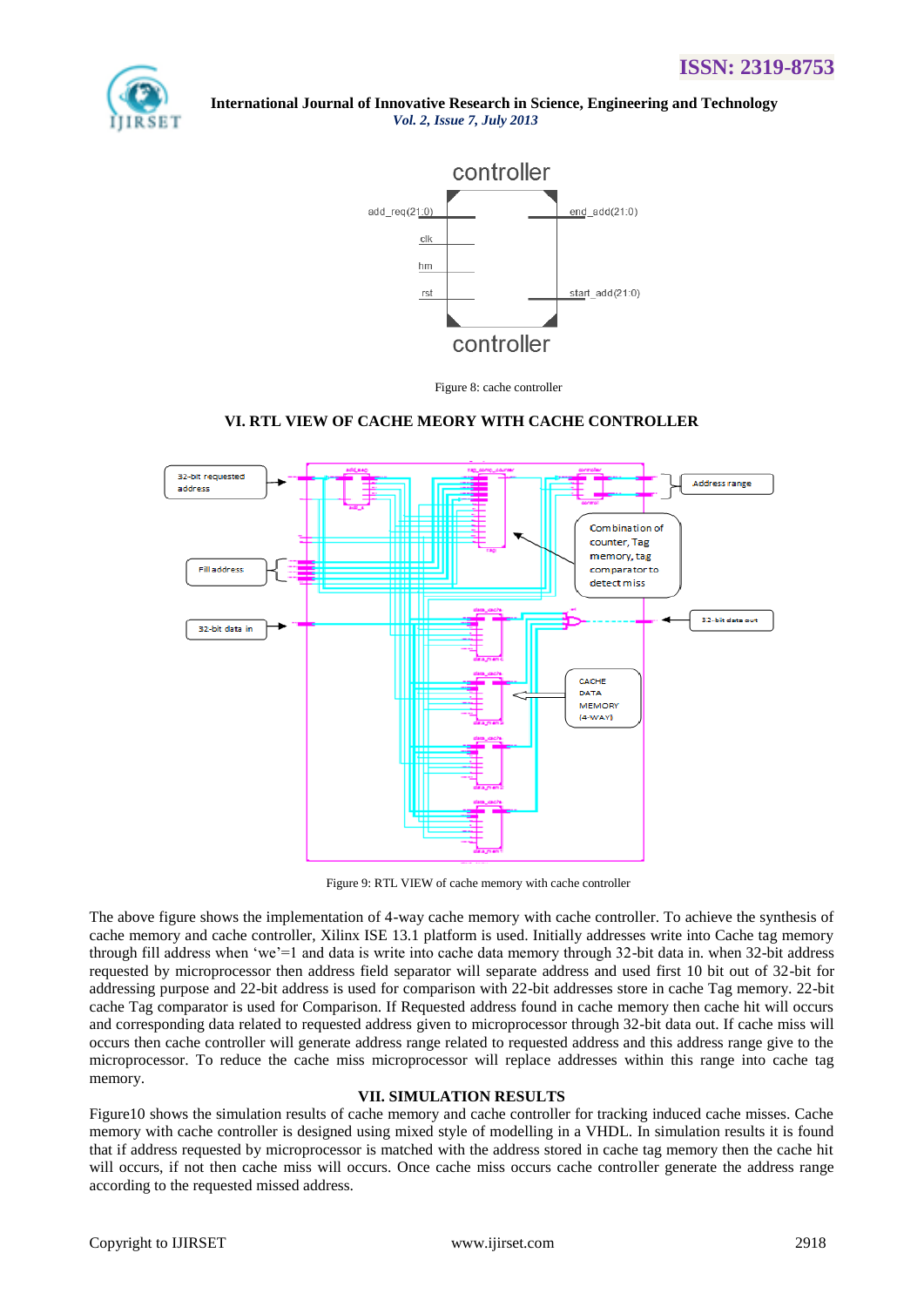



Figure 8: cache controller

# **VI. RTL VIEW OF CACHE MEORY WITH CACHE CONTROLLER**



Figure 9: RTL VIEW of cache memory with cache controller

The above figure shows the implementation of 4-way cache memory with cache controller. To achieve the synthesis of cache memory and cache controller, Xilinx ISE 13.1 platform is used. Initially addresses write into Cache tag memory through fill address when "we"=1 and data is write into cache data memory through 32-bit data in. when 32-bit address requested by microprocessor then address field separator will separate address and used first 10 bit out of 32-bit for addressing purpose and 22-bit address is used for comparison with 22-bit addresses store in cache Tag memory. 22-bit cache Tag comparator is used for Comparison. If Requested address found in cache memory then cache hit will occurs and corresponding data related to requested address given to microprocessor through 32-bit data out. If cache miss will occurs then cache controller will generate address range related to requested address and this address range give to the microprocessor. To reduce the cache miss microprocessor will replace addresses within this range into cache tag memory.

## **VII. SIMULATION RESULTS**

Figure10 shows the simulation results of cache memory and cache controller for tracking induced cache misses. Cache memory with cache controller is designed using mixed style of modelling in a VHDL. In simulation results it is found that if address requested by microprocessor is matched with the address stored in cache tag memory then the cache hit will occurs, if not then cache miss will occurs. Once cache miss occurs cache controller generate the address range according to the requested missed address.